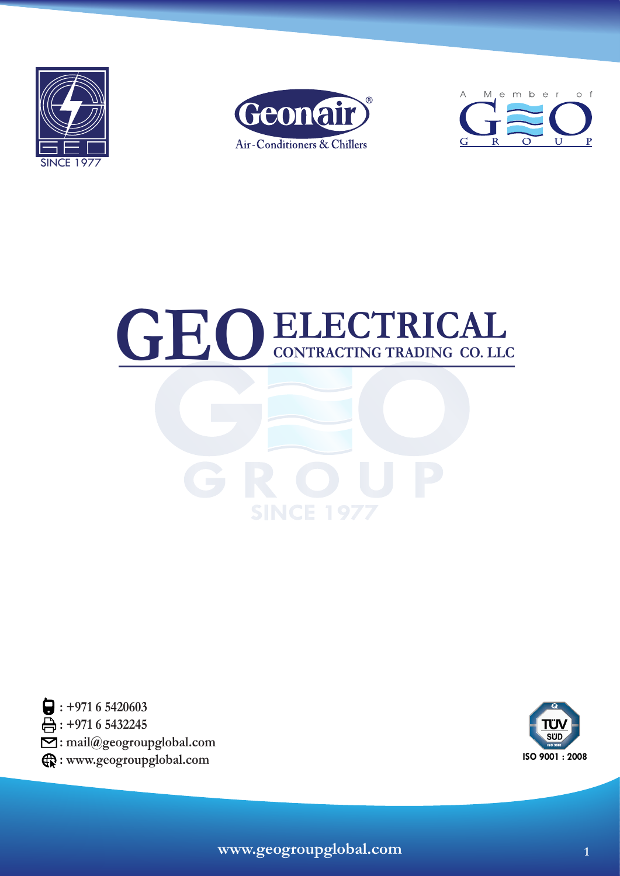









 **: +971 6 5420603 : +971 6 5432245 : mail@geogroupglobal.com : www.geogroupglobal.com**

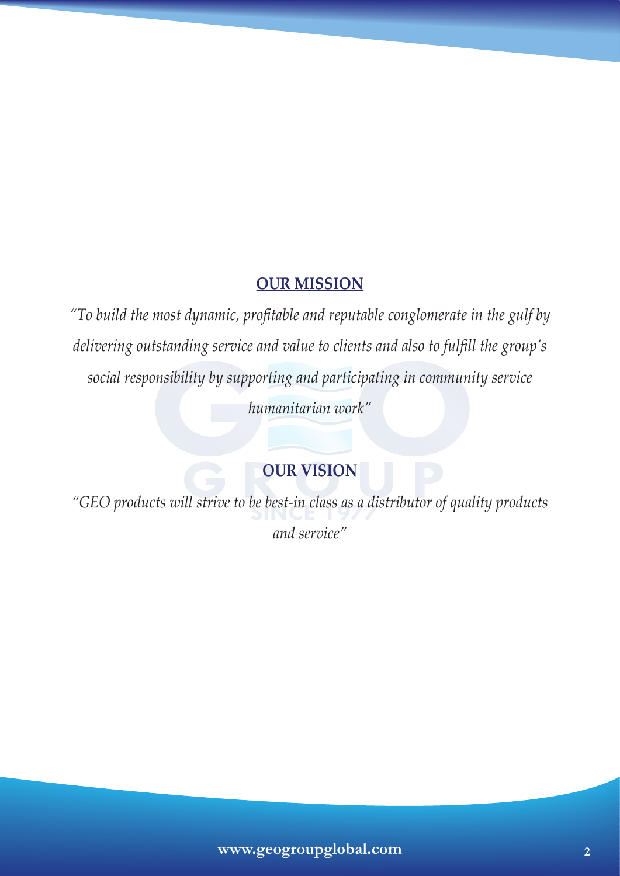# **OUR MISSION**

*"To build the most dynamic, profitable and reputable conglomerate in the gulf by delivering outstanding service and value to clients and also to fulfill the group's social responsibility by supporting and participating in community service humanitarian work"*

# **OUR VISION**

*"GEO products will strive to be best-in class as a distributor of quality products and service"*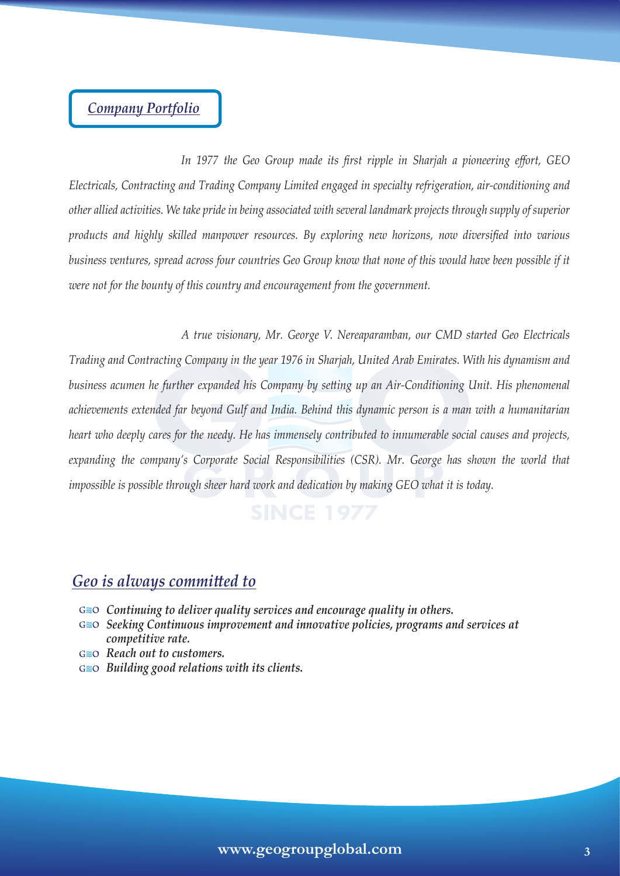# *Company Portfolio*

 *In 1977 the Geo Group made its first ripple in Sharjah a pioneering effort, GEO Electricals, Contracting and Trading Company Limited engaged in specialty refrigeration, air-conditioning and other allied activities. We take pride in being associated with several landmark projects through supply of superior products and highly skilled manpower resources. By exploring new horizons, now diversified into various*  business ventures, spread across four countries Geo Group know that none of this would have been possible if it *were not for the bounty of this country and encouragement from the government.* 

 *A true visionary, Mr. George V. Nereaparamban, our CMD started Geo Electricals Trading and Contracting Company in the year 1976 in Sharjah, United Arab Emirates. With his dynamism and business acumen he further expanded his Company by setting up an Air-Conditioning Unit. His phenomenal achievements extended far beyond Gulf and India. Behind this dynamic person is a man with a humanitarian heart who deeply cares for the needy. He has immensely contributed to innumerable social causes and projects, expanding the company's Corporate Social Responsibilities (CSR). Mr. George has shown the world that impossible is possible through sheer hard work and dedication by making GEO what it is today.*

# *Geo is always committed to*

- *Continuing to deliver quality services and encourage quality in others.*
- *Seeking Continuous improvement and innovative policies, programs and services at competitive rate.*
- *Reach out to customers.*
- *Building good relations with its clients.*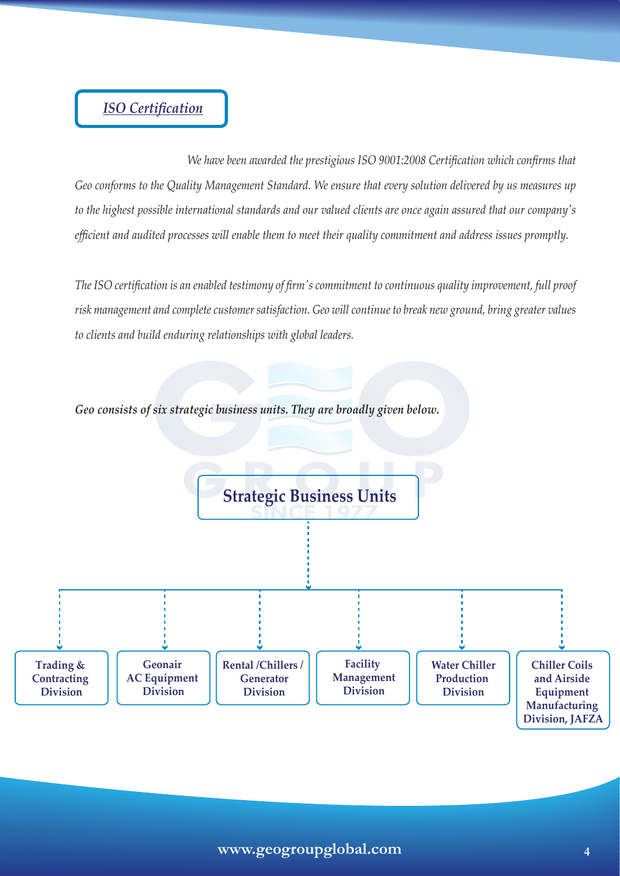# *ISO Certification*

 *We have been awarded the prestigious ISO 9001:2008 Certification which confirms that Geo conforms to the Quality Management Standard. We ensure that every solution delivered by us measures up to the highest possible international standards and our valued clients are once again assured that our company's efficient and audited processes will enable them to meet their quality commitment and address issues promptly.*

*The ISO certification is an enabled testimony of firm's commitment to continuous quality improvement, full proof risk management and complete customer satisfaction. Geo will continue to break new ground, bring greater values to clients and build enduring relationships with global leaders.*



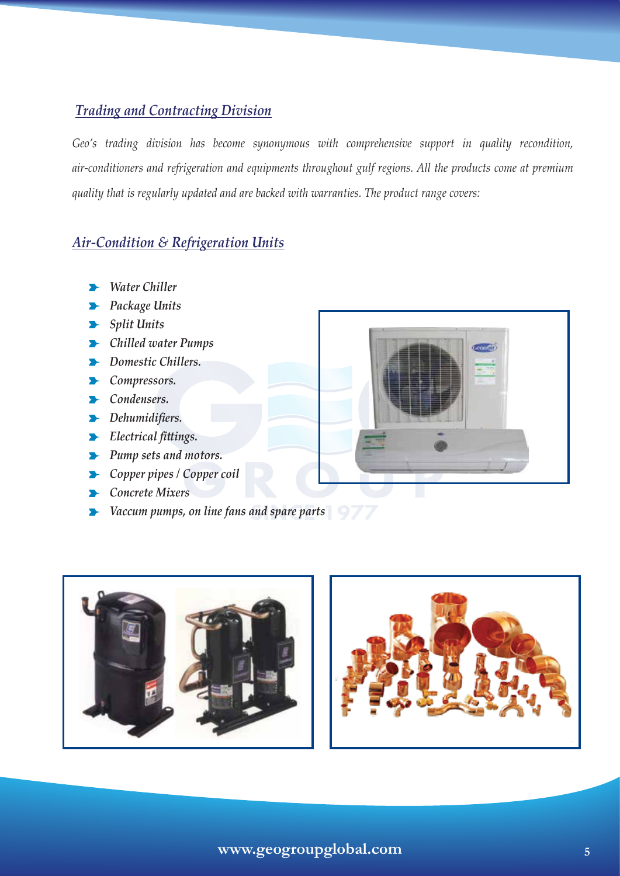# *Trading and Contracting Division*

*Geo's trading division has become synonymous with comprehensive support in quality recondition, air-conditioners and refrigeration and equipments throughout gulf regions. All the products come at premium quality that is regularly updated and are backed with warranties. The product range covers:*

# *Air-Condition & Refrigeration Units*

- *Water Chiller*
- *Package Units*
- *Split Units*
- *Chilled water Pumps*
- *Domestic Chillers.*
- *Compressors.*
- *Condensers.*
- *Dehumidifiers.*
- *Electrical fittings.*
- *Pump sets and motors.*
- *Copper pipes / Copper coil*
- *Concrete Mixers*
- *Vaccum pumps, on line fans and spare parts*





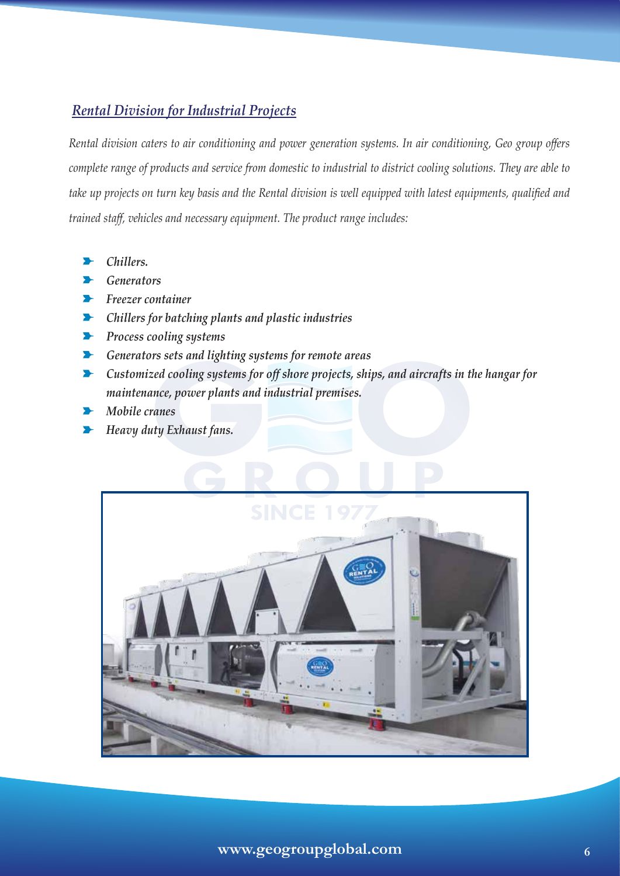## *Rental Division for Industrial Projects*

*Rental division caters to air conditioning and power generation systems. In air conditioning, Geo group offers complete range of products and service from domestic to industrial to district cooling solutions. They are able to take up projects on turn key basis and the Rental division is well equipped with latest equipments, qualified and trained staff, vehicles and necessary equipment. The product range includes:*

- *Chillers.*
- *Generators*
- *Freezer container*
- *Chillers for batching plants and plastic industries*
- *Process cooling systems*
- *Generators sets and lighting systems for remote areas*
- *Customized cooling systems for off shore projects, ships, and aircrafts in the hangar for maintenance, power plants and industrial premises.*
- *Mobile cranes*
- *Heavy duty Exhaust fans.*

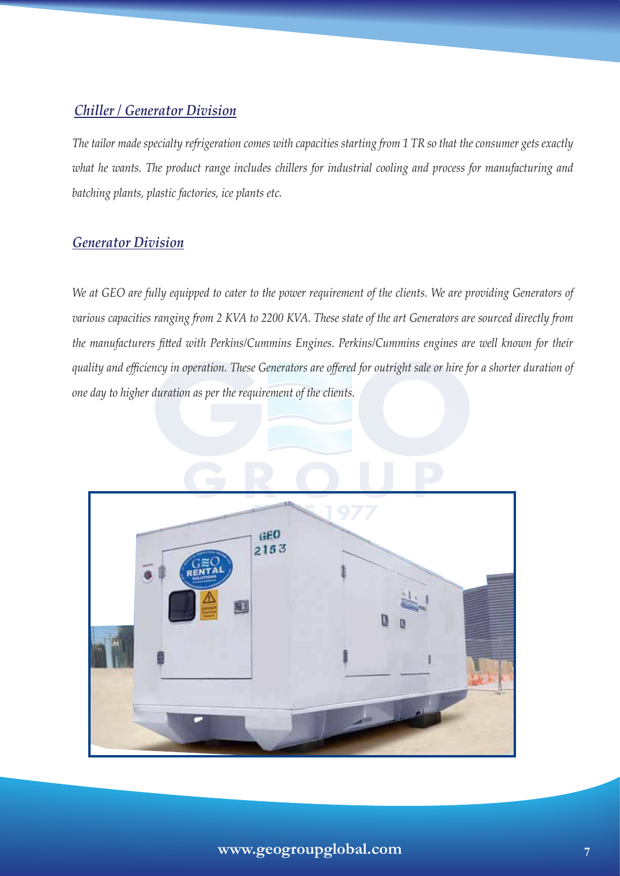## *Chiller / Generator Division*

*The tailor made specialty refrigeration comes with capacities starting from 1 TR so that the consumer gets exactly what he wants. The product range includes chillers for industrial cooling and process for manufacturing and batching plants, plastic factories, ice plants etc.*

## *Generator Division*

*We at GEO are fully equipped to cater to the power requirement of the clients. We are providing Generators of various capacities ranging from 2 KVA to 2200 KVA. These state of the art Generators are sourced directly from the manufacturers fitted with Perkins/Cummins Engines. Perkins/Cummins engines are well known for their quality and efficiency in operation. These Generators are offered for outright sale or hire for a shorter duration of one day to higher duration as per the requirement of the clients.* 

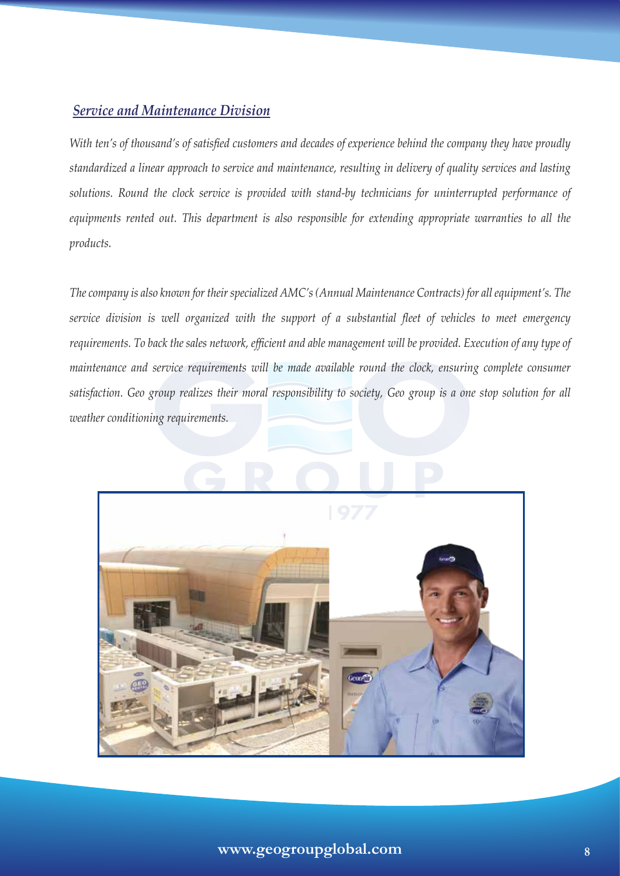## *Service and Maintenance Division*

*With ten's of thousand's of satisfied customers and decades of experience behind the company they have proudly standardized a linear approach to service and maintenance, resulting in delivery of quality services and lasting solutions. Round the clock service is provided with stand-by technicians for uninterrupted performance of equipments rented out. This department is also responsible for extending appropriate warranties to all the products.*

*The company is also known for their specialized AMC's (Annual Maintenance Contracts) for all equipment's. The service division is well organized with the support of a substantial fleet of vehicles to meet emergency requirements. To back the sales network, efficient and able management will be provided. Execution of any type of maintenance and service requirements will be made available round the clock, ensuring complete consumer satisfaction. Geo group realizes their moral responsibility to society, Geo group is a one stop solution for all weather conditioning requirements.*

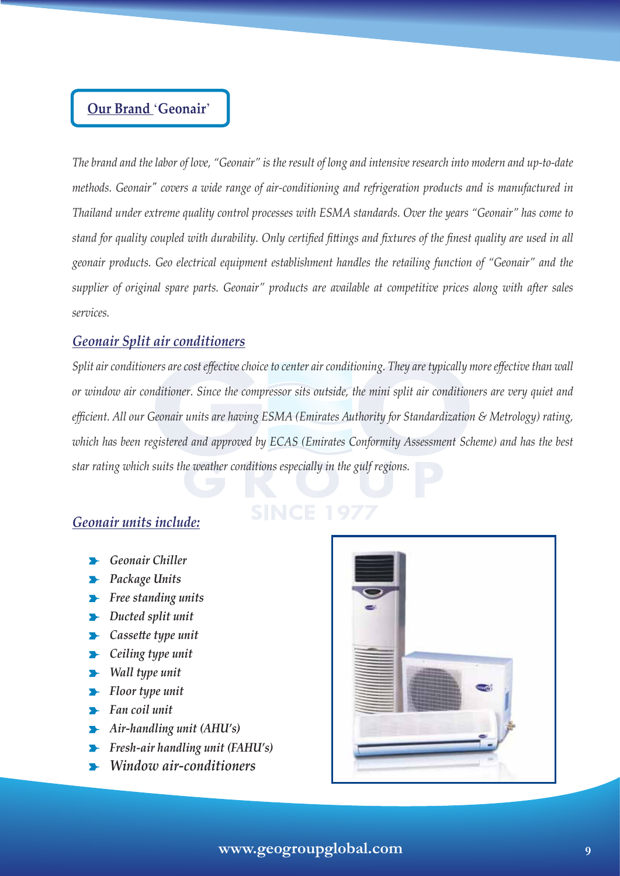# **Our Brand** '**Geonair**'

*The brand and the labor of love, "Geonair" is the result of long and intensive research into modern and up-to-date methods. Geonair" covers a wide range of air-conditioning and refrigeration products and is manufactured in Thailand under extreme quality control processes with ESMA standards. Over the years "Geonair" has come to stand for quality coupled with durability. Only certified fittings and fixtures of the finest quality are used in all geonair products. Geo electrical equipment establishment handles the retailing function of "Geonair" and the supplier of original spare parts. Geonair" products are available at competitive prices along with after sales services.*

## *Geonair Split air conditioners*

*Split air conditioners are cost effective choice to center air conditioning. They are typically more effective than wall or window air conditioner. Since the compressor sits outside, the mini split air conditioners are very quiet and efficient. All our Geonair units are having ESMA (Emirates Authority for Standardization & Metrology) rating, which has been registered and approved by ECAS (Emirates Conformity Assessment Scheme) and has the best star rating which suits the weather conditions especially in the gulf regions.*

## *Geonair units include:*

- *Geonair Chiller*
- *Package Units*
- *Free standing units*
- *Ducted split unit*
- *Cassette type unit*
- *<u>Exercicling</u> type unit*
- *Wall type unit*
- *Floor type unit*
- *Fan coil unit*
- *Air-handling unit (AHU's)*
- *Fresh-air handling unit (FAHU's)*
- *Window air-conditioners*

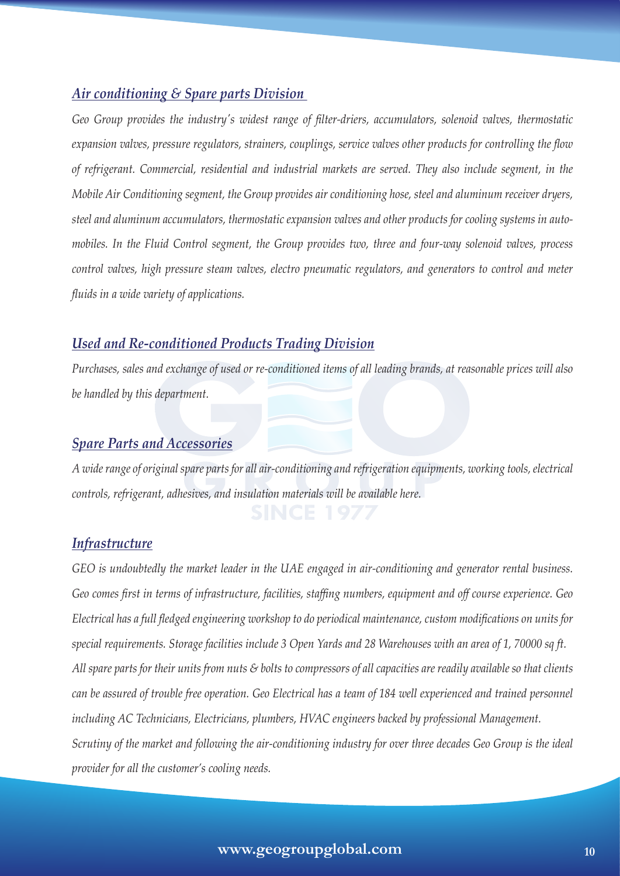## *Air conditioning & Spare parts Division*

*Geo Group provides the industry's widest range of filter-driers, accumulators, solenoid valves, thermostatic expansion valves, pressure regulators, strainers, couplings, service valves other products for controlling the flow of refrigerant. Commercial, residential and industrial markets are served. They also include segment, in the Mobile Air Conditioning segment, the Group provides air conditioning hose, steel and aluminum receiver dryers, steel and aluminum accumulators, thermostatic expansion valves and other products for cooling systems in automobiles. In the Fluid Control segment, the Group provides two, three and four-way solenoid valves, process control valves, high pressure steam valves, electro pneumatic regulators, and generators to control and meter fluids in a wide variety of applications.*

## *Used and Re-conditioned Products Trading Division*

*Purchases, sales and exchange of used or re-conditioned items of all leading brands, at reasonable prices will also be handled by this department.*

### *Spare Parts and Accessories*

*A wide range of original spare parts for all air-conditioning and refrigeration equipments, working tools, electrical controls, refrigerant, adhesives, and insulation materials will be available here.*

#### *Infrastructure*

*GEO is undoubtedly the market leader in the UAE engaged in air-conditioning and generator rental business. Geo comes first in terms of infrastructure, facilities, staffing numbers, equipment and off course experience. Geo Electrical has a full fledged engineering workshop to do periodical maintenance, custom modifications on units for special requirements. Storage facilities include 3 Open Yards and 28 Warehouses with an area of 1, 70000 sq ft. All spare parts for their units from nuts & bolts to compressors of all capacities are readily available so that clients*  can be assured of trouble free operation. Geo Electrical has a team of 184 well experienced and trained personnel *including AC Technicians, Electricians, plumbers, HVAC engineers backed by professional Management. Scrutiny of the market and following the air-conditioning industry for over three decades Geo Group is the ideal provider for all the customer's cooling needs.*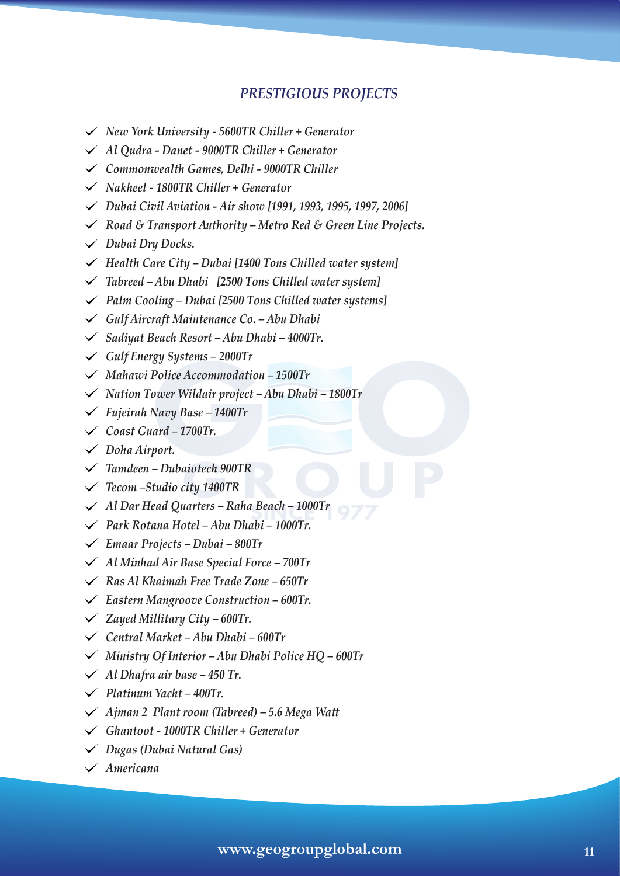## *PRESTIGIOUS PROJECTS*

- *New York University 5600TR Chiller + Generator*
- *Al Qudra Danet 9000TR Chiller + Generator*
- *Commonwealth Games, Delhi 9000TR Chiller*
- *Nakheel 1800TR Chiller + Generator*
- *Dubai Civil Aviation Air show [1991, 1993, 1995, 1997, 2006]*
- *Road & Transport Authority Metro Red & Green Line Projects.*
- *Dubai Dry Docks.*
- *Health Care City Dubai [1400 Tons Chilled water system]*
- *Tabreed Abu Dhabi [2500 Tons Chilled water system]*
- *Palm Cooling Dubai [2500 Tons Chilled water systems]*
- *Gulf Aircraft Maintenance Co. Abu Dhabi*
- *Sadiyat Beach Resort Abu Dhabi 4000Tr.*
- *Gulf Energy Systems 2000Tr*
- *Mahawi Police Accommodation 1500Tr*
- *Nation Tower Wildair project Abu Dhabi 1800Tr*
- *Fujeirah Navy Base 1400Tr*
- *Coast Guard 1700Tr.*
- *Doha Airport.*
- *Tamdeen Dubaiotech 900TR*
- *Tecom –Studio city 1400TR*
- *Al Dar Head Quarters Raha Beach 1000Tr*
- *Park Rotana Hotel Abu Dhabi 1000Tr.*
- *Emaar Projects Dubai 800Tr*
- *Al Minhad Air Base Special Force 700Tr*
- *Ras Al Khaimah Free Trade Zone 650Tr*
- *Eastern Mangroove Construction 600Tr.*
- *Zayed Millitary City 600Tr.*
- *Central Market Abu Dhabi 600Tr*
- *Ministry Of Interior Abu Dhabi Police HQ 600Tr*
- *Al Dhafra air base 450 Tr.*
- *Platinum Yacht 400Tr.*
- *Ajman 2 Plant room (Tabreed) 5.6 Mega Watt*
- *Ghantoot 1000TR Chiller + Generator*
- *Dugas (Dubai Natural Gas)*
- *Americana*